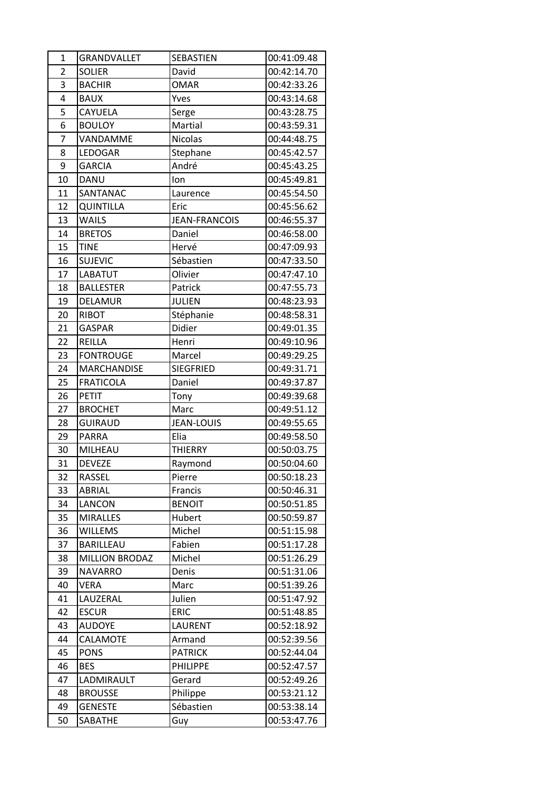| 1              | <b>GRANDVALLET</b>    | SEBASTIEN            | 00:41:09.48 |
|----------------|-----------------------|----------------------|-------------|
| $\overline{2}$ | <b>SOLIER</b>         | David                | 00:42:14.70 |
| 3              | <b>BACHIR</b>         | <b>OMAR</b>          | 00:42:33.26 |
| 4              | <b>BAUX</b>           | Yves                 | 00:43:14.68 |
| 5              | CAYUELA               | Serge                | 00:43:28.75 |
| 6              | <b>BOULOY</b>         | Martial              | 00:43:59.31 |
| 7              | VANDAMME              | Nicolas              | 00:44:48.75 |
| 8              | LEDOGAR               | Stephane             | 00:45:42.57 |
| 9              | <b>GARCIA</b>         | André                | 00:45:43.25 |
| 10             | DANU                  | Ion                  | 00:45:49.81 |
| 11             | SANTANAC              | Laurence             | 00:45:54.50 |
| 12             | <b>QUINTILLA</b>      | Eric                 | 00:45:56.62 |
| 13             | <b>WAILS</b>          | <b>JEAN-FRANCOIS</b> | 00:46:55.37 |
| 14             | <b>BRETOS</b>         | Daniel               | 00:46:58.00 |
| 15             | <b>TINE</b>           | Hervé                | 00:47:09.93 |
| 16             | <b>SUJEVIC</b>        | Sébastien            | 00:47:33.50 |
| 17             | <b>LABATUT</b>        | Olivier              | 00:47:47.10 |
| 18             | <b>BALLESTER</b>      | Patrick              | 00:47:55.73 |
| 19             | <b>DELAMUR</b>        | <b>JULIEN</b>        | 00:48:23.93 |
| 20             | <b>RIBOT</b>          | Stéphanie            | 00:48:58.31 |
| 21             | <b>GASPAR</b>         | Didier               | 00:49:01.35 |
| 22             | REILLA                | Henri                | 00:49:10.96 |
| 23             | <b>FONTROUGE</b>      | Marcel               | 00:49:29.25 |
| 24             | <b>MARCHANDISE</b>    | <b>SIEGFRIED</b>     | 00:49:31.71 |
| 25             | <b>FRATICOLA</b>      | Daniel               | 00:49:37.87 |
| 26             | <b>PETIT</b>          | Tony                 | 00:49:39.68 |
| 27             | <b>BROCHET</b>        | Marc                 | 00:49:51.12 |
| 28             | <b>GUIRAUD</b>        | <b>JEAN-LOUIS</b>    | 00:49:55.65 |
| 29             | PARRA                 | Elia                 | 00:49:58.50 |
| 30             | MILHEAU               | <b>THIERRY</b>       | 00:50:03.75 |
| 31             | <b>DEVEZE</b>         | Raymond              | 00:50:04.60 |
| 32             | RASSEL                | Pierre               | 00:50:18.23 |
| 33             | ABRIAL                | Francis              | 00:50:46.31 |
| 34             | LANCON                | <b>BENOIT</b>        | 00:50:51.85 |
| 35             | <b>MIRALLES</b>       | Hubert               | 00:50:59.87 |
| 36             | <b>WILLEMS</b>        | Michel               | 00:51:15.98 |
| 37             | BARILLEAU             | Fabien               | 00:51:17.28 |
| 38             | <b>MILLION BRODAZ</b> | Michel               | 00:51:26.29 |
| 39             | <b>NAVARRO</b>        | Denis                | 00:51:31.06 |
| 40             | <b>VERA</b>           | Marc                 | 00:51:39.26 |
| 41             | LAUZERAL              | Julien               | 00:51:47.92 |
| 42             | <b>ESCUR</b>          | <b>ERIC</b>          | 00:51:48.85 |
| 43             | <b>AUDOYE</b>         | LAURENT              | 00:52:18.92 |
| 44             | <b>CALAMOTE</b>       | Armand               | 00:52:39.56 |
| 45             | <b>PONS</b>           | <b>PATRICK</b>       | 00:52:44.04 |
| 46             | <b>BES</b>            | <b>PHILIPPE</b>      | 00:52:47.57 |
| 47             | LADMIRAULT            | Gerard               | 00:52:49.26 |
| 48             | <b>BROUSSE</b>        | Philippe             | 00:53:21.12 |
| 49             | <b>GENESTE</b>        | Sébastien            | 00:53:38.14 |
| 50             | SABATHE               | Guy                  | 00:53:47.76 |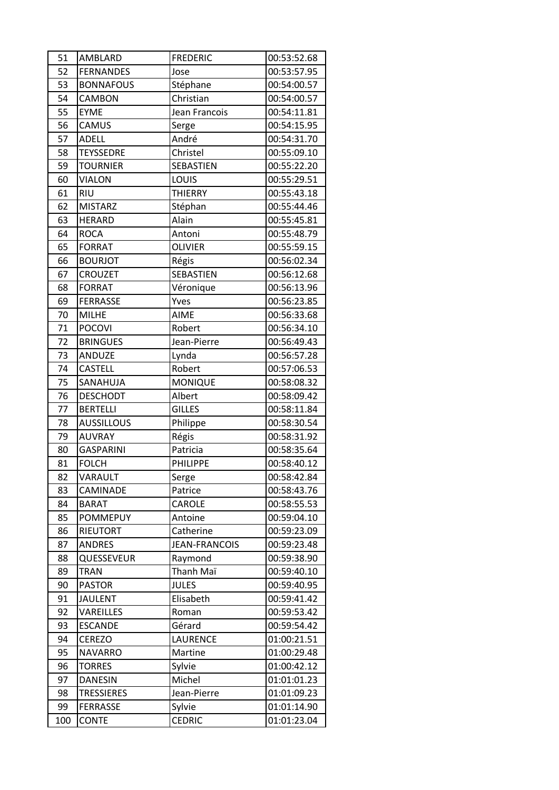| 51  | <b>AMBLARD</b>    | <b>FREDERIC</b>      | 00:53:52.68 |
|-----|-------------------|----------------------|-------------|
| 52  | <b>FERNANDES</b>  | Jose                 | 00:53:57.95 |
| 53  | <b>BONNAFOUS</b>  | Stéphane             | 00:54:00.57 |
| 54  | <b>CAMBON</b>     | Christian            | 00:54:00.57 |
| 55  | <b>EYME</b>       | Jean Francois        | 00:54:11.81 |
| 56  | CAMUS             | Serge                | 00:54:15.95 |
| 57  | <b>ADELL</b>      | André                | 00:54:31.70 |
| 58  | <b>TEYSSEDRE</b>  | Christel             | 00:55:09.10 |
| 59  | <b>TOURNIER</b>   | SEBASTIEN            | 00:55:22.20 |
| 60  | <b>VIALON</b>     | LOUIS                | 00:55:29.51 |
| 61  | <b>RIU</b>        | <b>THIERRY</b>       | 00:55:43.18 |
| 62  | <b>MISTARZ</b>    | Stéphan              | 00:55:44.46 |
| 63  | <b>HERARD</b>     | Alain                | 00:55:45.81 |
| 64  | <b>ROCA</b>       | Antoni               | 00:55:48.79 |
| 65  | <b>FORRAT</b>     | <b>OLIVIER</b>       | 00:55:59.15 |
| 66  | <b>BOURJOT</b>    | Régis                | 00:56:02.34 |
| 67  | <b>CROUZET</b>    | SEBASTIEN            | 00:56:12.68 |
| 68  | <b>FORRAT</b>     | Véronique            | 00:56:13.96 |
| 69  | <b>FERRASSE</b>   | Yves                 | 00:56:23.85 |
| 70  | <b>MILHE</b>      | <b>AIME</b>          | 00:56:33.68 |
| 71  | <b>POCOVI</b>     | Robert               | 00:56:34.10 |
| 72  | <b>BRINGUES</b>   | Jean-Pierre          | 00:56:49.43 |
| 73  | ANDUZE            | Lynda                | 00:56:57.28 |
| 74  | <b>CASTELL</b>    | Robert               | 00:57:06.53 |
| 75  | SANAHUJA          | <b>MONIQUE</b>       | 00:58:08.32 |
| 76  | <b>DESCHODT</b>   | Albert               | 00:58:09.42 |
| 77  | <b>BERTELLI</b>   | <b>GILLES</b>        | 00:58:11.84 |
| 78  | <b>AUSSILLOUS</b> | Philippe             | 00:58:30.54 |
| 79  | <b>AUVRAY</b>     | Régis                | 00:58:31.92 |
| 80  | <b>GASPARINI</b>  | Patricia             | 00:58:35.64 |
| 81  | <b>FOLCH</b>      | PHILIPPE             | 00:58:40.12 |
| 82  | VARAULT           | Serge                | 00:58:42.84 |
| 83  | <b>CAMINADE</b>   | Patrice              | 00:58:43.76 |
| 84  | <b>BARAT</b>      | CAROLE               | 00:58:55.53 |
| 85  | <b>POMMEPUY</b>   | Antoine              | 00:59:04.10 |
| 86  | RIEUTORT          | Catherine            | 00:59:23.09 |
| 87  | <b>ANDRES</b>     | <b>JEAN-FRANCOIS</b> | 00:59:23.48 |
| 88  | QUESSEVEUR        | Raymond              | 00:59:38.90 |
| 89  | <b>TRAN</b>       | Thanh Maï            | 00:59:40.10 |
| 90  | <b>PASTOR</b>     | <b>JULES</b>         | 00:59:40.95 |
| 91  | <b>JAULENT</b>    | Elisabeth            | 00:59:41.42 |
| 92  | VAREILLES         | Roman                | 00:59:53.42 |
| 93  | <b>ESCANDE</b>    | Gérard               | 00:59:54.42 |
| 94  | <b>CEREZO</b>     | LAURENCE             | 01:00:21.51 |
| 95  | <b>NAVARRO</b>    | Martine              | 01:00:29.48 |
| 96  | <b>TORRES</b>     | Sylvie               | 01:00:42.12 |
| 97  | <b>DANESIN</b>    | Michel               | 01:01:01.23 |
| 98  | <b>TRESSIERES</b> | Jean-Pierre          | 01:01:09.23 |
| 99  | <b>FERRASSE</b>   | Sylvie               | 01:01:14.90 |
| 100 | <b>CONTE</b>      | <b>CEDRIC</b>        | 01:01:23.04 |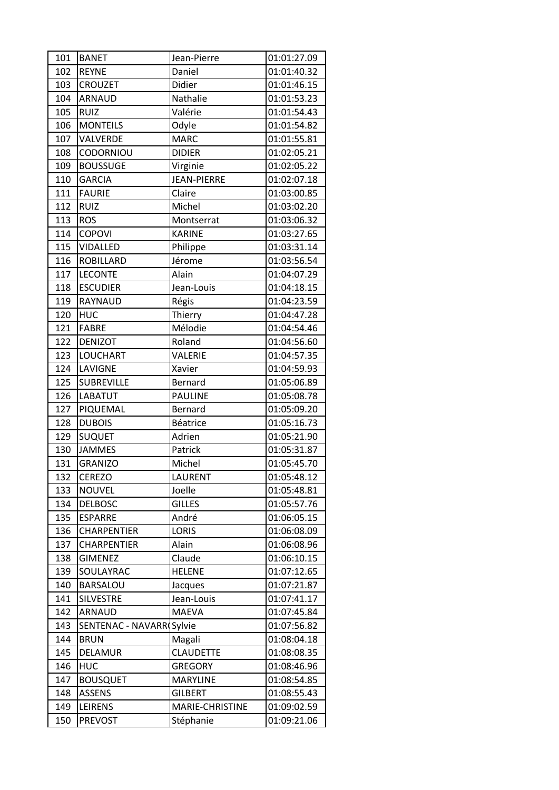| 101 | <b>BANET</b>              | Jean-Pierre        | 01:01:27.09 |
|-----|---------------------------|--------------------|-------------|
| 102 | <b>REYNE</b>              | Daniel             | 01:01:40.32 |
| 103 | <b>CROUZET</b>            | Didier             | 01:01:46.15 |
| 104 | <b>ARNAUD</b>             | Nathalie           | 01:01:53.23 |
| 105 | <b>RUIZ</b>               | Valérie            | 01:01:54.43 |
| 106 | <b>MONTEILS</b>           | Odyle              | 01:01:54.82 |
| 107 | VALVERDE                  | <b>MARC</b>        | 01:01:55.81 |
| 108 | CODORNIOU                 | <b>DIDIER</b>      | 01:02:05.21 |
| 109 | <b>BOUSSUGE</b>           | Virginie           | 01:02:05.22 |
| 110 | <b>GARCIA</b>             | <b>JEAN-PIERRE</b> | 01:02:07.18 |
| 111 | <b>FAURIE</b>             | Claire             | 01:03:00.85 |
| 112 | <b>RUIZ</b>               | Michel             | 01:03:02.20 |
| 113 | <b>ROS</b>                | Montserrat         | 01:03:06.32 |
| 114 | <b>COPOVI</b>             | <b>KARINE</b>      | 01:03:27.65 |
| 115 | VIDALLED                  | Philippe           | 01:03:31.14 |
| 116 | <b>ROBILLARD</b>          | Jérome             | 01:03:56.54 |
| 117 | <b>LECONTE</b>            | Alain              | 01:04:07.29 |
| 118 | <b>ESCUDIER</b>           | Jean-Louis         | 01:04:18.15 |
| 119 | RAYNAUD                   | Régis              | 01:04:23.59 |
| 120 | <b>HUC</b>                | Thierry            | 01:04:47.28 |
| 121 | <b>FABRE</b>              | Mélodie            | 01:04:54.46 |
| 122 | <b>DENIZOT</b>            | Roland             | 01:04:56.60 |
| 123 | <b>LOUCHART</b>           | VALERIE            | 01:04:57.35 |
| 124 | LAVIGNE                   | Xavier             | 01:04:59.93 |
| 125 | <b>SUBREVILLE</b>         | Bernard            | 01:05:06.89 |
| 126 | <b>LABATUT</b>            | <b>PAULINE</b>     | 01:05:08.78 |
| 127 | PIQUEMAL                  | Bernard            | 01:05:09.20 |
| 128 | <b>DUBOIS</b>             | Béatrice           | 01:05:16.73 |
| 129 | <b>SUQUET</b>             | Adrien             | 01:05:21.90 |
| 130 | <b>JAMMES</b>             | Patrick            | 01:05:31.87 |
| 131 | <b>GRANIZO</b>            | Michel             | 01:05:45.70 |
| 132 | <b>CEREZO</b>             | LAURENT            | 01:05:48.12 |
| 133 | <b>NOUVEL</b>             | Joelle             | 01:05:48.81 |
| 134 | <b>DELBOSC</b>            | <b>GILLES</b>      | 01:05:57.76 |
| 135 | <b>ESPARRE</b>            | André              | 01:06:05.15 |
| 136 | <b>CHARPENTIER</b>        | <b>LORIS</b>       | 01:06:08.09 |
| 137 | CHARPENTIER               | Alain              | 01:06:08.96 |
| 138 | <b>GIMENEZ</b>            | Claude             | 01:06:10.15 |
| 139 | SOULAYRAC                 | <b>HELENE</b>      | 01:07:12.65 |
| 140 | BARSALOU                  | Jacques            | 01:07:21.87 |
| 141 | <b>SILVESTRE</b>          | Jean-Louis         | 01:07:41.17 |
| 142 | <b>ARNAUD</b>             | <b>MAEVA</b>       | 01:07:45.84 |
| 143 | SENTENAC - NAVARRI Sylvie |                    | 01:07:56.82 |
| 144 | <b>BRUN</b>               | Magali             | 01:08:04.18 |
| 145 | DELAMUR                   | <b>CLAUDETTE</b>   | 01:08:08.35 |
| 146 | <b>HUC</b>                | <b>GREGORY</b>     | 01:08:46.96 |
| 147 | <b>BOUSQUET</b>           | <b>MARYLINE</b>    | 01:08:54.85 |
| 148 | <b>ASSENS</b>             | <b>GILBERT</b>     | 01:08:55.43 |
| 149 | LEIRENS                   | MARIE-CHRISTINE    | 01:09:02.59 |
| 150 | <b>PREVOST</b>            | Stéphanie          | 01:09:21.06 |